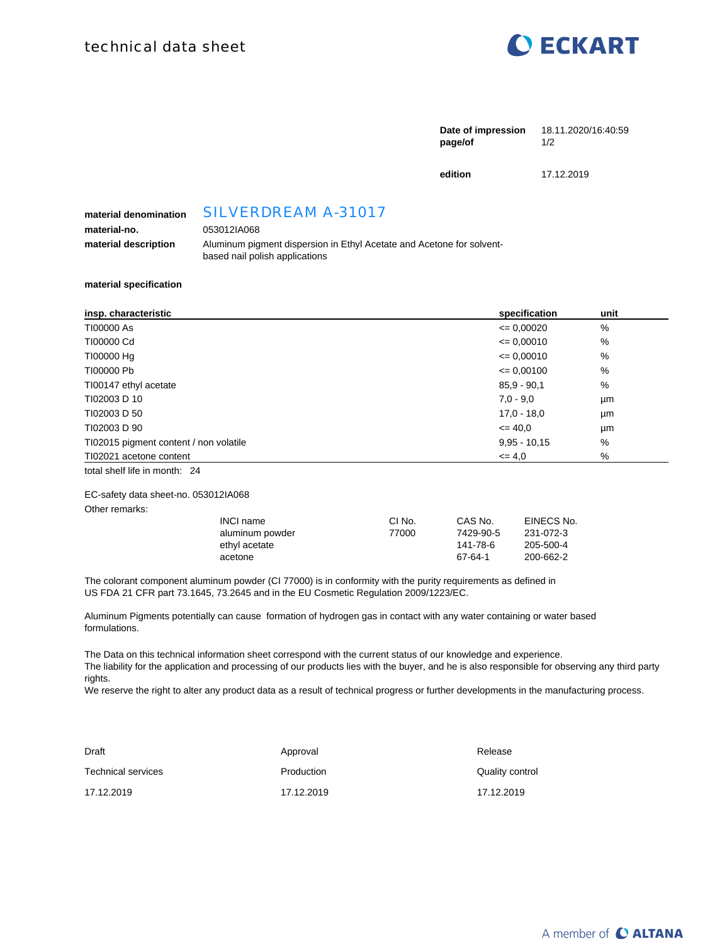

| page/of | Date of impression 18.11.2020/16:40:59<br>1/2 |
|---------|-----------------------------------------------|
| edition | 17.12.2019                                    |

## **material denomination** SILVERDREAM A-31017

**material-no.** 053012IA068

### **material description** Aluminum pigment dispersion in Ethyl Acetate and Acetone for solventbased nail polish applications

#### **material specification**

| insp. characteristic                   | specification  | unit |
|----------------------------------------|----------------|------|
| T100000 As                             | $= 0.00020$    | %    |
| T100000 Cd                             | $= 0.00010$    | %    |
| T100000 Hg                             | $= 0.00010$    | %    |
| T100000 Pb                             | $= 0.00100$    | %    |
| TI00147 ethyl acetate                  | $85.9 - 90.1$  | %    |
| TI02003 D 10                           | $7.0 - 9.0$    | μm   |
| TI02003 D 50                           | $17.0 - 18.0$  | μm   |
| TI02003 D 90                           | $\leq$ 40.0    | μm   |
| TI02015 pigment content / non volatile | $9.95 - 10.15$ | %    |
| TI02021 acetone content                | $= 4.0$        | %    |

total shelf life in month: 24

#### EC-safety data sheet-no. 053012IA068

Other remarks:

| INCI name       | CI No. | CAS No.   | EINECS No. |
|-----------------|--------|-----------|------------|
| aluminum powder | 77000  | 7429-90-5 | 231-072-3  |
| ethyl acetate   |        | 141-78-6  | 205-500-4  |
| acetone         |        | 67-64-1   | 200-662-2  |

The colorant component aluminum powder (CI 77000) is in conformity with the purity requirements as defined in US FDA 21 CFR part 73.1645, 73.2645 and in the EU Cosmetic Regulation 2009/1223/EC.

Aluminum Pigments potentially can cause formation of hydrogen gas in contact with any water containing or water based formulations.

The Data on this technical information sheet correspond with the current status of our knowledge and experience. The liability for the application and processing of our products lies with the buyer, and he is also responsible for observing any third party rights.

We reserve the right to alter any product data as a result of technical progress or further developments in the manufacturing process.

| Draft                     | Approval   | Release         |
|---------------------------|------------|-----------------|
| <b>Technical services</b> | Production | Quality control |
| 17.12.2019                | 17.12.2019 | 17.12.2019      |